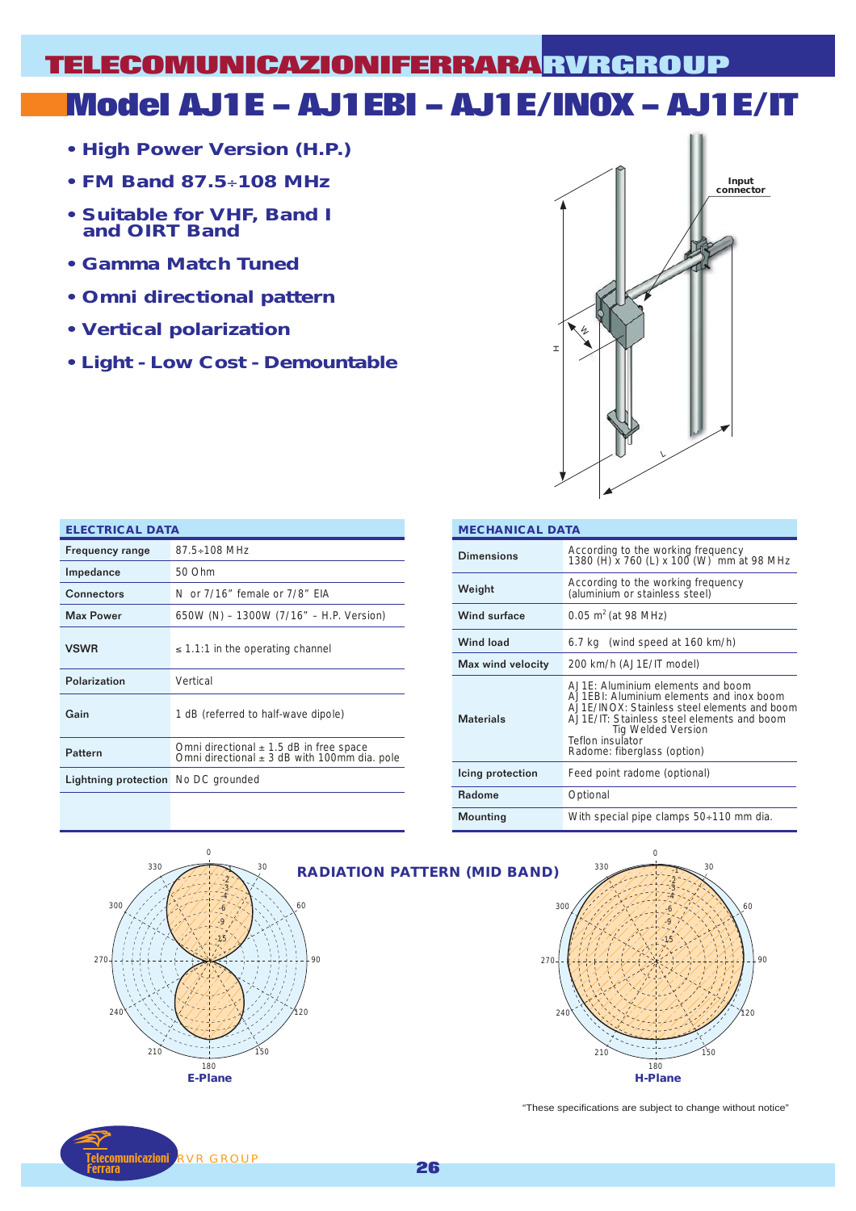## **Model AJ1E – AJ1EBI – AJ1E/INOX – AJ1E/IT TELECOMUNICAZIONIFERRARA RVRGROUP**

- **High Power Version (H.P.)**
- **FM Band 87.5**÷**108 MHz**
- **Suitable for VHF, Band I and OIRT Band**
- **Gamma Match Tuned**
- **Omni directional pattern**
- **Vertical polarization**
- **Light Low Cost Demountable**



| <b>ELECTRICAL DATA</b>                     |                                                                                                 |  |  |  |  |  |  |
|--------------------------------------------|-------------------------------------------------------------------------------------------------|--|--|--|--|--|--|
| <b>Frequency range</b>                     | $87.5 \div 108$ MHz                                                                             |  |  |  |  |  |  |
| Impedance                                  | 50 Ohm                                                                                          |  |  |  |  |  |  |
| Connectors                                 | N or 7/16" female or 7/8" FIA                                                                   |  |  |  |  |  |  |
| <b>Max Power</b>                           | 650W (N) - 1300W (7/16" - H.P. Version)                                                         |  |  |  |  |  |  |
| <b>VSWR</b>                                | $\leq$ 1.1:1 in the operating channel                                                           |  |  |  |  |  |  |
| Polarization                               | Vertical                                                                                        |  |  |  |  |  |  |
| Gain                                       | 1 dB (referred to half-wave dipole)                                                             |  |  |  |  |  |  |
| Pattern                                    | Omni directional $\pm$ 1.5 dB in free space<br>Omni directional $\pm$ 3 dB with 100mm dia. pole |  |  |  |  |  |  |
| <b>Lightning protection</b> No DC grounded |                                                                                                 |  |  |  |  |  |  |
|                                            |                                                                                                 |  |  |  |  |  |  |

| <b>MECHANICAL DATA</b> |                                                                                                                                                                                                                                                          |  |  |  |  |
|------------------------|----------------------------------------------------------------------------------------------------------------------------------------------------------------------------------------------------------------------------------------------------------|--|--|--|--|
| Dimensions             | According to the working frequency<br>1380 (H) x 760 (L) x 100 (W) mm at 98 MHz                                                                                                                                                                          |  |  |  |  |
| Weight                 | According to the working frequency<br>(aluminium or stainless steel)                                                                                                                                                                                     |  |  |  |  |
| Wind surface           | $0.05$ m <sup>2</sup> (at 98 MHz)                                                                                                                                                                                                                        |  |  |  |  |
| <b>Wind load</b>       | 6.7 kg (wind speed at 160 km/h)                                                                                                                                                                                                                          |  |  |  |  |
| Max wind velocity      | 200 km/h (AJ1E/IT model)                                                                                                                                                                                                                                 |  |  |  |  |
| <b>Materials</b>       | $A$ J1F: Aluminium elements and boom<br>A.J1EBI: Aluminium elements and inox boom<br>AJ1E/INOX: Stainless steel elements and boom<br>AJ1E/IT: Stainless steel elements and boom<br>Tig Welded Version<br>Teflon insulator<br>Radome: fiberglass (option) |  |  |  |  |
| Icing protection       | Feed point radome (optional)                                                                                                                                                                                                                             |  |  |  |  |
| <b>Radome</b>          | Optional                                                                                                                                                                                                                                                 |  |  |  |  |
| Mounting               | With special pipe clamps 50÷110 mm dia.                                                                                                                                                                                                                  |  |  |  |  |





"These specifications are subject to change without notice"